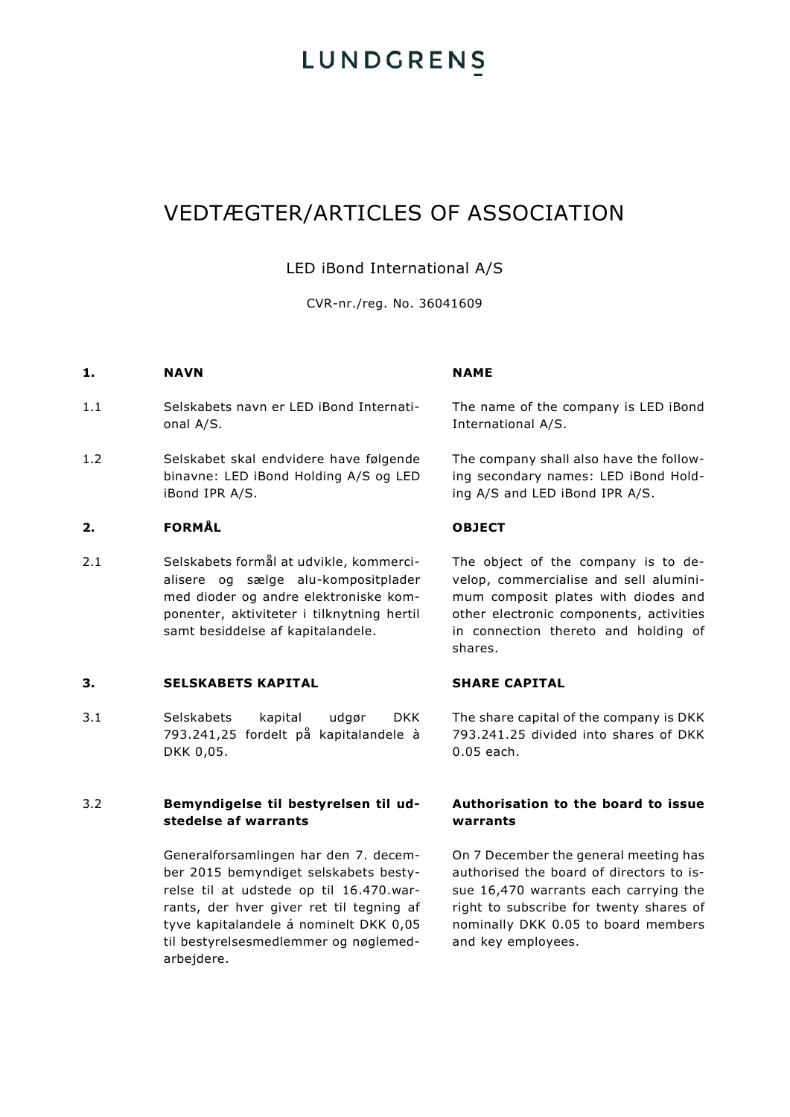### VEDTÆGTER/ARTICLES OF ASSOCIATION

### LED iBond International A/S

CVR-nr./reg. No. 36041609

### **1. NAVN NAME**

- 1.1 Selskabets navn er LED iBond International A/S.
- 1.2 Selskabet skal endvidere have følgende binavne: LED iBond Holding A/S og LED iBond IPR A/S.

### **2. FORMÅL OBJECT**

2.1 Selskabets formål at udvikle, kommercialisere og sælge alu-kompositplader med dioder og andre elektroniske komponenter, aktiviteter i tilknytning hertil samt besiddelse af kapitalandele.

### **3. SELSKABETS KAPITAL SHARE CAPITAL**

3.1 Selskabets kapital udgør DKK 793.241,25 fordelt på kapitalandele à DKK 0,05.

### 3.2 **Bemyndigelse til bestyrelsen til udstedelse af warrants**

Generalforsamlingen har den 7. december 2015 bemyndiget selskabets bestyrelse til at udstede op til 16.470.warrants, der hver giver ret til tegning af tyve kapitalandele á nominelt DKK 0,05 til bestyrelsesmedlemmer og nøglemedarbejdere.

The name of the company is LED iBond International A/S.

The company shall also have the following secondary names: LED iBond Holding A/S and LED iBond IPR A/S.

The object of the company is to develop, commercialise and sell aluminimum composit plates with diodes and other electronic components, activities in connection thereto and holding of shares.

The share capital of the company is DKK 793.241.25 divided into shares of DKK 0.05 each.

### **Authorisation to the board to issue warrants**

On 7 December the general meeting has authorised the board of directors to issue 16,470 warrants each carrying the right to subscribe for twenty shares of nominally DKK 0.05 to board members and key employees.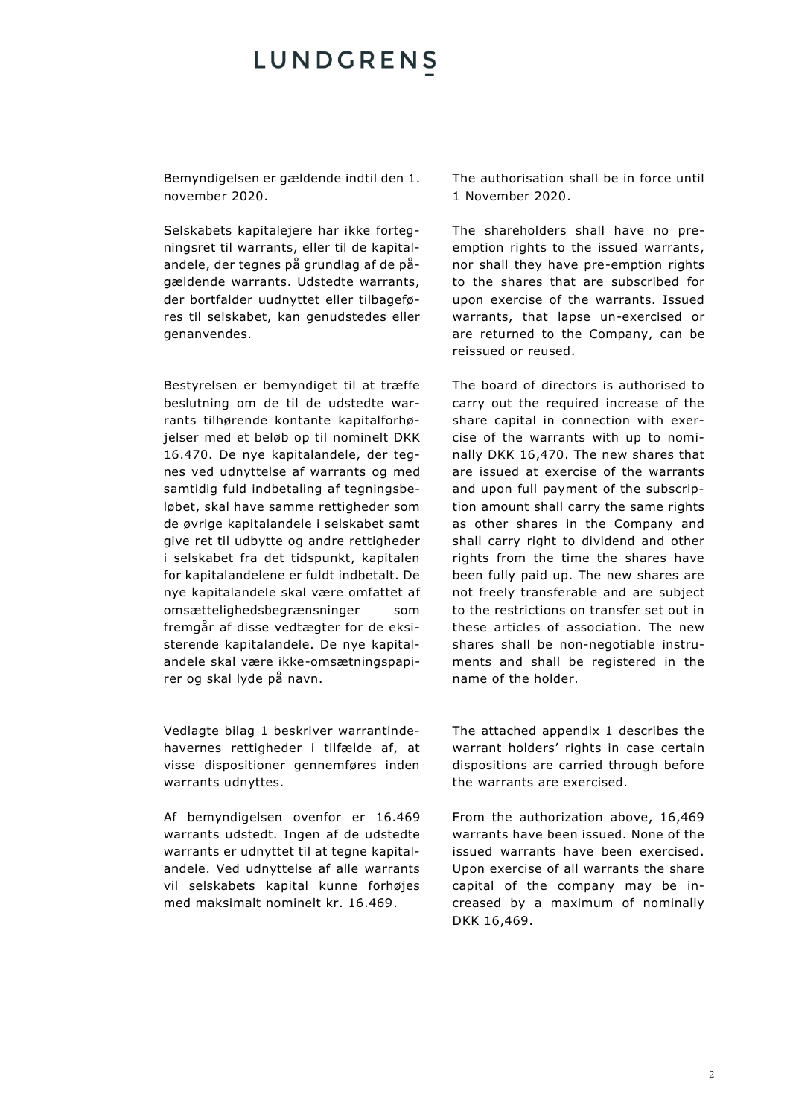Bemyndigelsen er gældende indtil den 1. november 2020.

Selskabets kapitalejere har ikke fortegningsret til warrants, eller til de kapitalandele, der tegnes på grundlag af de pågældende warrants. Udstedte warrants, der bortfalder uudnyttet eller tilbageføres til selskabet, kan genudstedes eller genanvendes.

Bestyrelsen er bemyndiget til at træffe beslutning om de til de udstedte warrants tilhørende kontante kapitalforhøjelser med et beløb op til nominelt DKK 16.470. De nye kapitalandele, der tegnes ved udnyttelse af warrants og med samtidig fuld indbetaling af tegningsbeløbet, skal have samme rettigheder som de øvrige kapitalandele i selskabet samt give ret til udbytte og andre rettigheder i selskabet fra det tidspunkt, kapitalen for kapitalandelene er fuldt indbetalt. De nye kapitalandele skal være omfattet af omsættelighedsbegrænsninger som fremgår af disse vedtægter for de eksisterende kapitalandele. De nye kapitalandele skal være ikke-omsætningspapirer og skal lyde på navn.

Vedlagte bilag 1 beskriver warrantindehavernes rettigheder i tilfælde af, at visse dispositioner gennemføres inden warrants udnyttes.

Af bemyndigelsen ovenfor er 16.469 warrants udstedt. Ingen af de udstedte warrants er udnyttet til at tegne kapitalandele. Ved udnyttelse af alle warrants vil selskabets kapital kunne forhøjes med maksimalt nominelt kr. 16.469.

The authorisation shall be in force until 1 November 2020.

The shareholders shall have no preemption rights to the issued warrants, nor shall they have pre-emption rights to the shares that are subscribed for upon exercise of the warrants. Issued warrants, that lapse un-exercised or are returned to the Company, can be reissued or reused.

The board of directors is authorised to carry out the required increase of the share capital in connection with exercise of the warrants with up to nominally DKK 16,470. The new shares that are issued at exercise of the warrants and upon full payment of the subscription amount shall carry the same rights as other shares in the Company and shall carry right to dividend and other rights from the time the shares have been fully paid up. The new shares are not freely transferable and are subject to the restrictions on transfer set out in these articles of association. The new shares shall be non-negotiable instruments and shall be registered in the name of the holder.

The attached appendix 1 describes the warrant holders' rights in case certain dispositions are carried through before the warrants are exercised.

From the authorization above, 16,469 warrants have been issued. None of the issued warrants have been exercised. Upon exercise of all warrants the share capital of the company may be increased by a maximum of nominally DKK 16,469.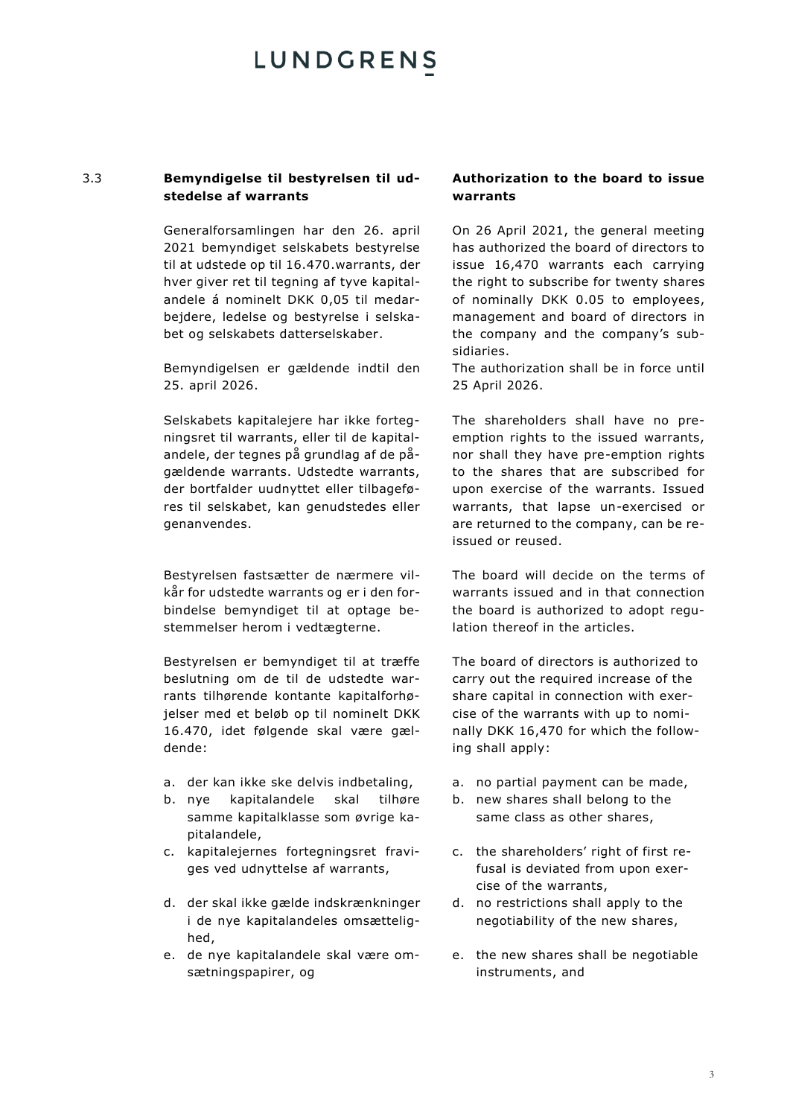### 3.3 **Bemyndigelse til bestyrelsen til udstedelse af warrants**

Generalforsamlingen har den 26. april 2021 bemyndiget selskabets bestyrelse til at udstede op til 16.470.warrants, der hver giver ret til tegning af tyve kapitalandele á nominelt DKK 0,05 til medarbejdere, ledelse og bestyrelse i selskabet og selskabets datterselskaber.

Bemyndigelsen er gældende indtil den 25. april 2026.

Selskabets kapitalejere har ikke fortegningsret til warrants, eller til de kapitalandele, der tegnes på grundlag af de pågældende warrants. Udstedte warrants, der bortfalder uudnyttet eller tilbageføres til selskabet, kan genudstedes eller genanvendes.

Bestyrelsen fastsætter de nærmere vilkår for udstedte warrants og er i den forbindelse bemyndiget til at optage bestemmelser herom i vedtægterne.

Bestyrelsen er bemyndiget til at træffe beslutning om de til de udstedte warrants tilhørende kontante kapitalforhøjelser med et beløb op til nominelt DKK 16.470, idet følgende skal være gældende:

- a. der kan ikke ske delvis indbetaling,
- b. nye kapitalandele skal tilhøre samme kapitalklasse som øvrige kapitalandele,
- c. kapitalejernes fortegningsret fraviges ved udnyttelse af warrants,
- d. der skal ikke gælde indskrænkninger i de nye kapitalandeles omsættelighed,
- e. de nye kapitalandele skal være omsætningspapirer, og

### **Authorization to the board to issue warrants**

On 26 April 2021, the general meeting has authorized the board of directors to issue 16,470 warrants each carrying the right to subscribe for twenty shares of nominally DKK 0.05 to employees, management and board of directors in the company and the company's subsidiaries.

The authorization shall be in force until 25 April 2026.

The shareholders shall have no preemption rights to the issued warrants, nor shall they have pre-emption rights to the shares that are subscribed for upon exercise of the warrants. Issued warrants, that lapse un-exercised or are returned to the company, can be reissued or reused.

The board will decide on the terms of warrants issued and in that connection the board is authorized to adopt regulation thereof in the articles.

The board of directors is authorized to carry out the required increase of the share capital in connection with exercise of the warrants with up to nominally DKK 16,470 for which the following shall apply:

- a. no partial payment can be made,
- b. new shares shall belong to the same class as other shares,
- c. the shareholders' right of first refusal is deviated from upon exercise of the warrants,
- d. no restrictions shall apply to the negotiability of the new shares,
- e. the new shares shall be negotiable instruments, and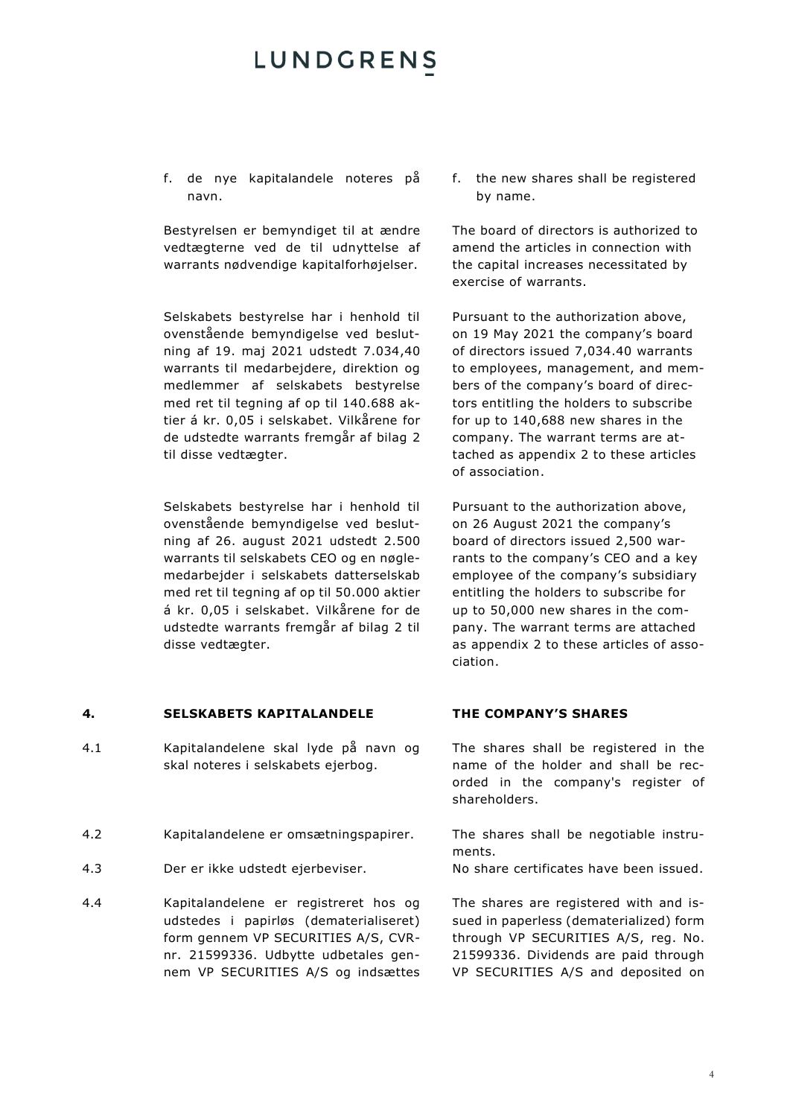f. de nye kapitalandele noteres på navn.

Bestyrelsen er bemyndiget til at ændre vedtægterne ved de til udnyttelse af warrants nødvendige kapitalforhøjelser.

Selskabets bestyrelse har i henhold til ovenstående bemyndigelse ved beslutning af 19. maj 2021 udstedt 7.034,40 warrants til medarbejdere, direktion og medlemmer af selskabets bestyrelse med ret til tegning af op til 140.688 aktier á kr. 0,05 i selskabet. Vilkårene for de udstedte warrants fremgår af bilag 2 til disse vedtægter.

Selskabets bestyrelse har i henhold til ovenstående bemyndigelse ved beslutning af 26. august 2021 udstedt 2.500 warrants til selskabets CEO og en nøglemedarbejder i selskabets datterselskab med ret til tegning af op til 50.000 aktier á kr. 0,05 i selskabet. Vilkårene for de udstedte warrants fremgår af bilag 2 til disse vedtægter.

### **4. SELSKABETS KAPITALANDELE THE COMPANY'S SHARES**

- 4.1 Kapitalandelene skal lyde på navn og skal noteres i selskabets ejerbog.
- 4.2 Kapitalandelene er omsætningspapirer. The shares shall be negotiable instru-
- 4.3 Der er ikke udstedt ejerbeviser. No share certificates have been issued.
- 4.4 Kapitalandelene er registreret hos og udstedes i papirløs (dematerialiseret) form gennem VP SECURITIES A/S, CVRnr. 21599336. Udbytte udbetales gennem VP SECURITIES A/S og indsættes

f. the new shares shall be registered by name.

The board of directors is authorized to amend the articles in connection with the capital increases necessitated by exercise of warrants.

Pursuant to the authorization above, on 19 May 2021 the company's board of directors issued 7,034.40 warrants to employees, management, and members of the company's board of directors entitling the holders to subscribe for up to 140,688 new shares in the company. The warrant terms are attached as appendix 2 to these articles of association.

Pursuant to the authorization above, on 26 August 2021 the company's board of directors issued 2,500 warrants to the company's CEO and a key employee of the company's subsidiary entitling the holders to subscribe for up to 50,000 new shares in the company. The warrant terms are attached as appendix 2 to these articles of association.

The shares shall be registered in the name of the holder and shall be recorded in the company's register of shareholders.

ments.

The shares are registered with and issued in paperless (dematerialized) form through VP SECURITIES A/S, reg. No. 21599336. Dividends are paid through VP SECURITIES A/S and deposited on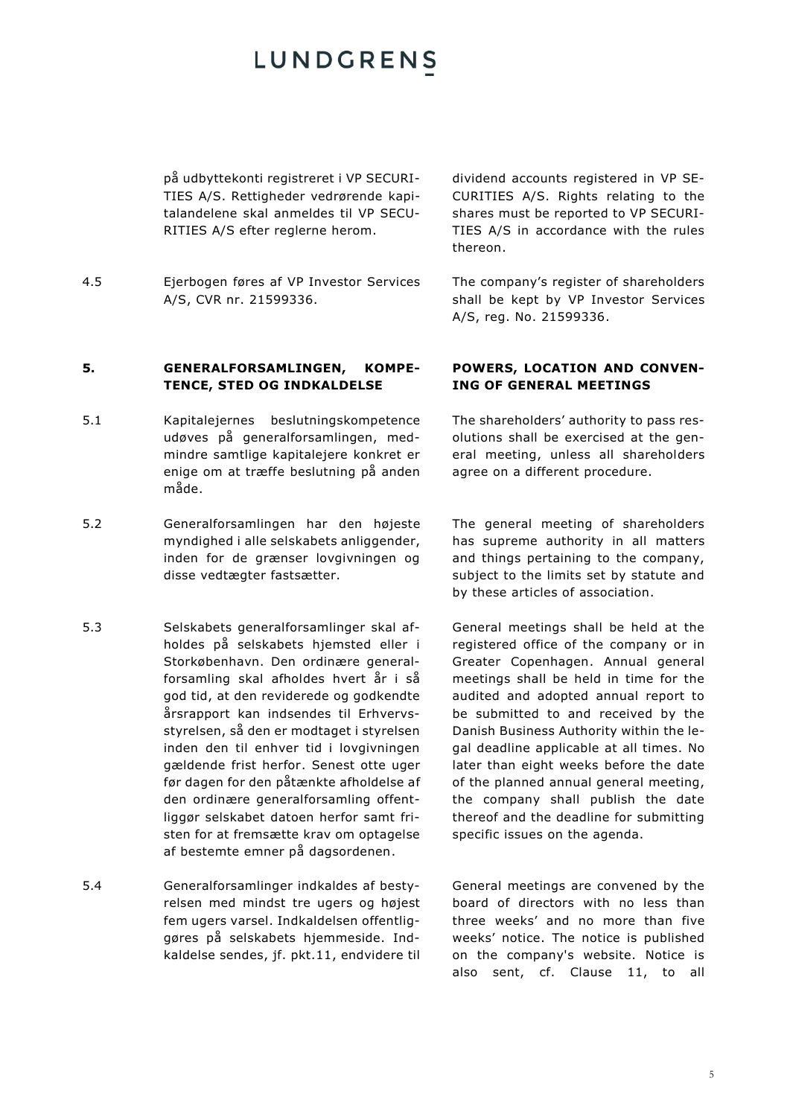på udbyttekonti registreret i VP SECURI-TIES A/S. Rettigheder vedrørende kapitalandelene skal anmeldes til VP SECU-RITIES A/S efter reglerne herom.

4.5 Ejerbogen føres af VP Investor Services A/S, CVR nr. 21599336.

dividend accounts registered in VP SE-CURITIES A/S. Rights relating to the shares must be reported to VP SECURI-TIES A/S in accordance with the rules thereon.

The company's register of shareholders shall be kept by VP Investor Services A/S, reg. No. 21599336.

### **5. GENERALFORSAMLINGEN, KOMPE-TENCE, STED OG INDKALDELSE**

- 5.1 Kapitalejernes beslutningskompetence udøves på generalforsamlingen, medmindre samtlige kapitalejere konkret er enige om at træffe beslutning på anden måde.
- 5.2 Generalforsamlingen har den højeste myndighed i alle selskabets anliggender, inden for de grænser lovgivningen og disse vedtægter fastsætter.
- 5.3 Selskabets generalforsamlinger skal afholdes på selskabets hjemsted eller i Storkøbenhavn. Den ordinære generalforsamling skal afholdes hvert år i så god tid, at den reviderede og godkendte årsrapport kan indsendes til Erhvervsstyrelsen, så den er modtaget i styrelsen inden den til enhver tid i lovgivningen gældende frist herfor. Senest otte uger før dagen for den påtænkte afholdelse af den ordinære generalforsamling offentliggør selskabet datoen herfor samt fristen for at fremsætte krav om optagelse af bestemte emner på dagsordenen.
- 5.4 Generalforsamlinger indkaldes af bestyrelsen med mindst tre ugers og højest fem ugers varsel. Indkaldelsen offentliggøres på selskabets hjemmeside. Indkaldelse sendes, jf. pkt[.11,](#page-8-0) endvidere til

### **POWERS, LOCATION AND CONVEN-ING OF GENERAL MEETINGS**

The shareholders' authority to pass resolutions shall be exercised at the general meeting, unless all shareholders agree on a different procedure.

The general meeting of shareholders has supreme authority in all matters and things pertaining to the company, subject to the limits set by statute and by these articles of association.

General meetings shall be held at the registered office of the company or in Greater Copenhagen. Annual general meetings shall be held in time for the audited and adopted annual report to be submitted to and received by the Danish Business Authority within the legal deadline applicable at all times. No later than eight weeks before the date of the planned annual general meeting, the company shall publish the date thereof and the deadline for submitting specific issues on the agenda.

General meetings are convened by the board of directors with no less than three weeks' and no more than five weeks' notice. The notice is published on the company's website. Notice is also sent, cf. Clause [11,](#page-8-0) to all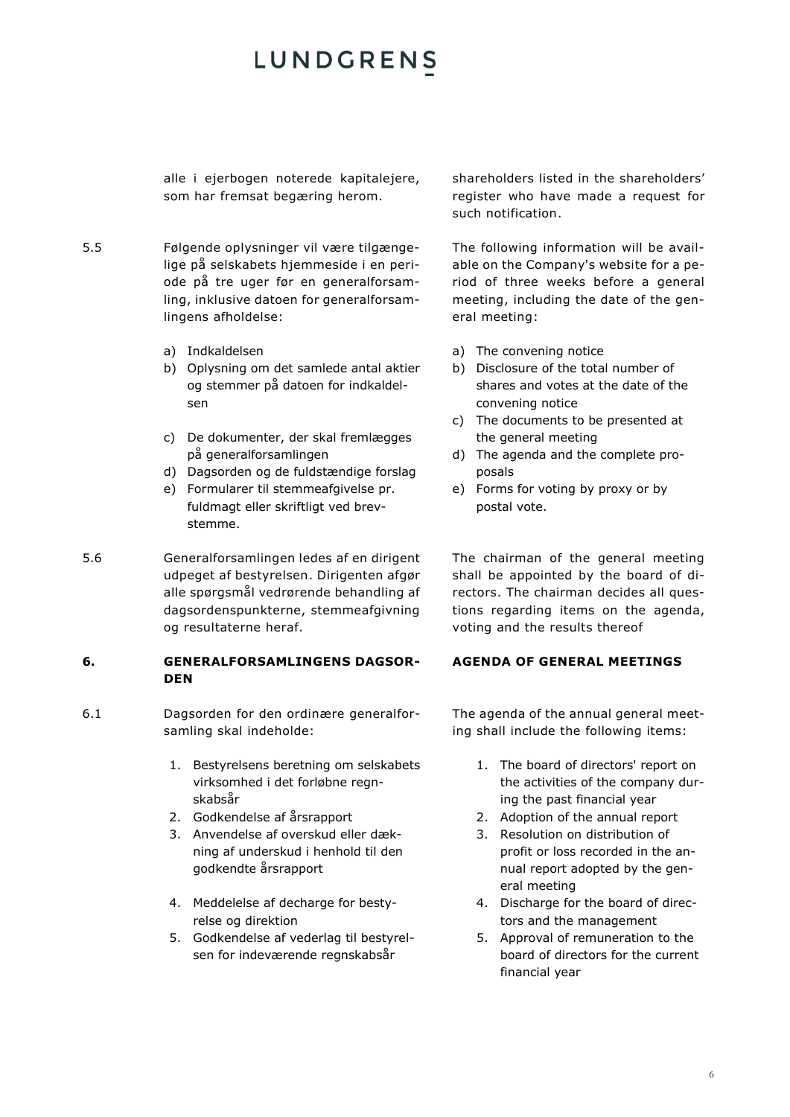alle i ejerbogen noterede kapitalejere, som har fremsat begæring herom.

- 5.5 Følgende oplysninger vil være tilgængelige på selskabets hjemmeside i en periode på tre uger før en generalforsamling, inklusive datoen for generalforsamlingens afholdelse:
	- a) Indkaldelsen
	- b) Oplysning om det samlede antal aktier og stemmer på datoen for indkaldelsen
	- c) De dokumenter, der skal fremlægges på generalforsamlingen
	- d) Dagsorden og de fuldstændige forslag
	- e) Formularer til stemmeafgivelse pr. fuldmagt eller skriftligt ved brevstemme.
- 5.6 Generalforsamlingen ledes af en dirigent udpeget af bestyrelsen. Dirigenten afgør alle spørgsmål vedrørende behandling af dagsordenspunkterne, stemmeafgivning og resultaterne heraf.

### **6. GENERALFORSAMLINGENS DAGSOR-DEN**

- 6.1 Dagsorden for den ordinære generalforsamling skal indeholde:
	- 1. Bestyrelsens beretning om selskabets virksomhed i det forløbne regnskabsår
	-
	- 3. Anvendelse af overskud eller dækning af underskud i henhold til den godkendte årsrapport
	- 4. Meddelelse af decharge for bestyrelse og direktion
	- 5. Godkendelse af vederlag til bestyrelsen for indeværende regnskabsår

shareholders listed in the shareholders' register who have made a request for such notification.

The following information will be available on the Company's website for a period of three weeks before a general meeting, including the date of the general meeting:

- a) The convening notice
- b) Disclosure of the total number of shares and votes at the date of the convening notice
- c) The documents to be presented at the general meeting
- d) The agenda and the complete proposals
- e) Forms for voting by proxy or by postal vote.

The chairman of the general meeting shall be appointed by the board of directors. The chairman decides all questions regarding items on the agenda, voting and the results thereof

### **AGENDA OF GENERAL MEETINGS**

The agenda of the annual general meeting shall include the following items:

- 1. The board of directors' report on the activities of the company during the past financial year
- 2. Godkendelse af årsrapport 2. Adoption of the annual report
	- 3. Resolution on distribution of profit or loss recorded in the annual report adopted by the general meeting
	- 4. Discharge for the board of directors and the management
	- 5. Approval of remuneration to the board of directors for the current financial year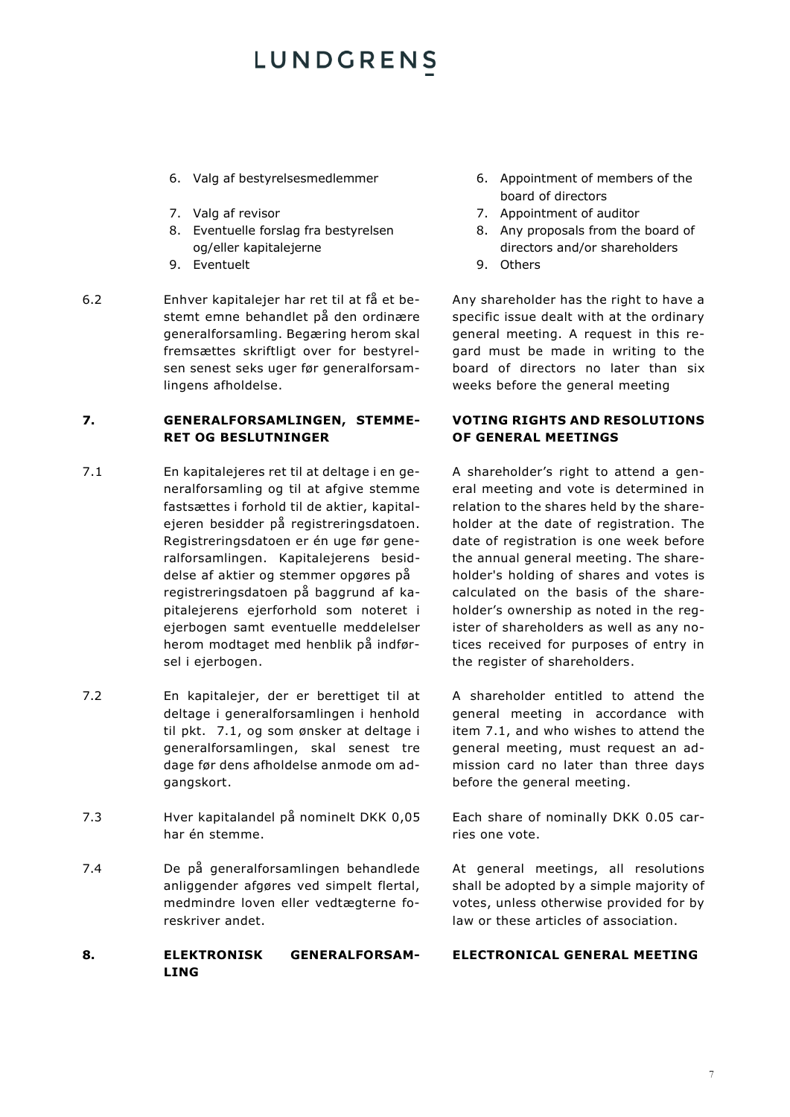- 
- 
- 8. Eventuelle forslag fra bestyrelsen og/eller kapitalejerne
- 9. Eventuelt
- 6.2 Enhver kapitalejer har ret til at få et bestemt emne behandlet på den ordinære generalforsamling. Begæring herom skal fremsættes skriftligt over for bestyrelsen senest seks uger før generalforsamlingens afholdelse.

### **7. GENERALFORSAMLINGEN, STEMME-RET OG BESLUTNINGER**

- 7.1 En kapitalejeres ret til at deltage i en generalforsamling og til at afgive stemme fastsættes i forhold til de aktier, kapitalejeren besidder på registreringsdatoen. Registreringsdatoen er én uge før generalforsamlingen. Kapitalejerens besiddelse af aktier og stemmer opgøres på registreringsdatoen på baggrund af kapitalejerens ejerforhold som noteret i ejerbogen samt eventuelle meddelelser herom modtaget med henblik på indførsel i ejerbogen.
- 7.2 En kapitalejer, der er berettiget til at deltage i generalforsamlingen i henhold til pkt. 7.1, og som ønsker at deltage i generalforsamlingen, skal senest tre dage før dens afholdelse anmode om adgangskort.
- 7.3 Hver kapitalandel på nominelt DKK 0,05 har én stemme.
- 7.4 De på generalforsamlingen behandlede anliggender afgøres ved simpelt flertal, medmindre loven eller vedtægterne foreskriver andet.

### **8. ELEKTRONISK GENERALFORSAM-LING**

- 6. Valg af bestyrelsesmedlemmer 6. Appointment of members of the board of directors
- 7. Valg af revisor 7. Appointment of auditor
	- 8. Any proposals from the board of directors and/or shareholders
	- 9. Others

Any shareholder has the right to have a specific issue dealt with at the ordinary general meeting. A request in this regard must be made in writing to the board of directors no later than six weeks before the general meeting

### **VOTING RIGHTS AND RESOLUTIONS OF GENERAL MEETINGS**

A shareholder's right to attend a general meeting and vote is determined in relation to the shares held by the shareholder at the date of registration. The date of registration is one week before the annual general meeting. The shareholder's holding of shares and votes is calculated on the basis of the shareholder's ownership as noted in the register of shareholders as well as any notices received for purposes of entry in the register of shareholders.

A shareholder entitled to attend the general meeting in accordance with item 7.1, and who wishes to attend the general meeting, must request an admission card no later than three days before the general meeting.

Each share of nominally DKK 0.05 carries one vote.

At general meetings, all resolutions shall be adopted by a simple majority of votes, unless otherwise provided for by law or these articles of association.

### **ELECTRONICAL GENERAL MEETING**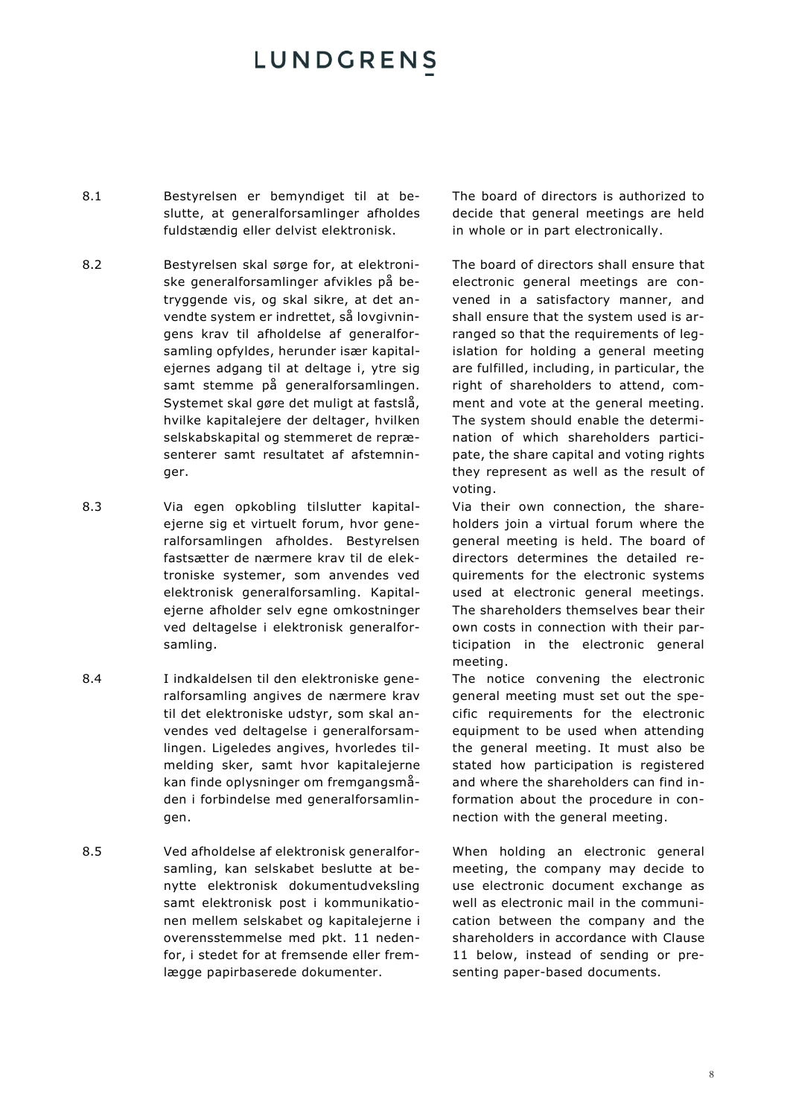- 8.1 Bestyrelsen er bemyndiget til at beslutte, at generalforsamlinger afholdes fuldstændig eller delvist elektronisk.
- 8.2 Bestyrelsen skal sørge for, at elektroniske generalforsamlinger afvikles på betryggende vis, og skal sikre, at det anvendte system er indrettet, så lovgivningens krav til afholdelse af generalforsamling opfyldes, herunder især kapitalejernes adgang til at deltage i, ytre sig samt stemme på generalforsamlingen. Systemet skal gøre det muligt at fastslå, hvilke kapitalejere der deltager, hvilken selskabskapital og stemmeret de repræsenterer samt resultatet af afstemninger.
- 8.3 Via egen opkobling tilslutter kapitalejerne sig et virtuelt forum, hvor generalforsamlingen afholdes. Bestyrelsen fastsætter de nærmere krav til de elektroniske systemer, som anvendes ved elektronisk generalforsamling. Kapitalejerne afholder selv egne omkostninger ved deltagelse i elektronisk generalforsamling.
- 8.4 I indkaldelsen til den elektroniske generalforsamling angives de nærmere krav til det elektroniske udstyr, som skal anvendes ved deltagelse i generalforsamlingen. Ligeledes angives, hvorledes tilmelding sker, samt hvor kapitalejerne kan finde oplysninger om fremgangsmåden i forbindelse med generalforsamlingen.
- 8.5 Ved afholdelse af elektronisk generalforsamling, kan selskabet beslutte at benytte elektronisk dokumentudveksling samt elektronisk post i kommunikationen mellem selskabet og kapitalejerne i overensstemmelse med pkt. [11](#page-8-0) nedenfor, i stedet for at fremsende eller fremlægge papirbaserede dokumenter.

The board of directors is authorized to decide that general meetings are held in whole or in part electronically.

The board of directors shall ensure that electronic general meetings are convened in a satisfactory manner, and shall ensure that the system used is arranged so that the requirements of legislation for holding a general meeting are fulfilled, including, in particular, the right of shareholders to attend, comment and vote at the general meeting. The system should enable the determination of which shareholders participate, the share capital and voting rights they represent as well as the result of voting.

Via their own connection, the shareholders join a virtual forum where the general meeting is held. The board of directors determines the detailed requirements for the electronic systems used at electronic general meetings. The shareholders themselves bear their own costs in connection with their participation in the electronic general meeting.

The notice convening the electronic general meeting must set out the specific requirements for the electronic equipment to be used when attending the general meeting. It must also be stated how participation is registered and where the shareholders can find information about the procedure in connection with the general meeting.

When holding an electronic general meeting, the company may decide to use electronic document exchange as well as electronic mail in the communication between the company and the shareholders in accordance with Clause [11](#page-8-0) below, instead of sending or presenting paper-based documents.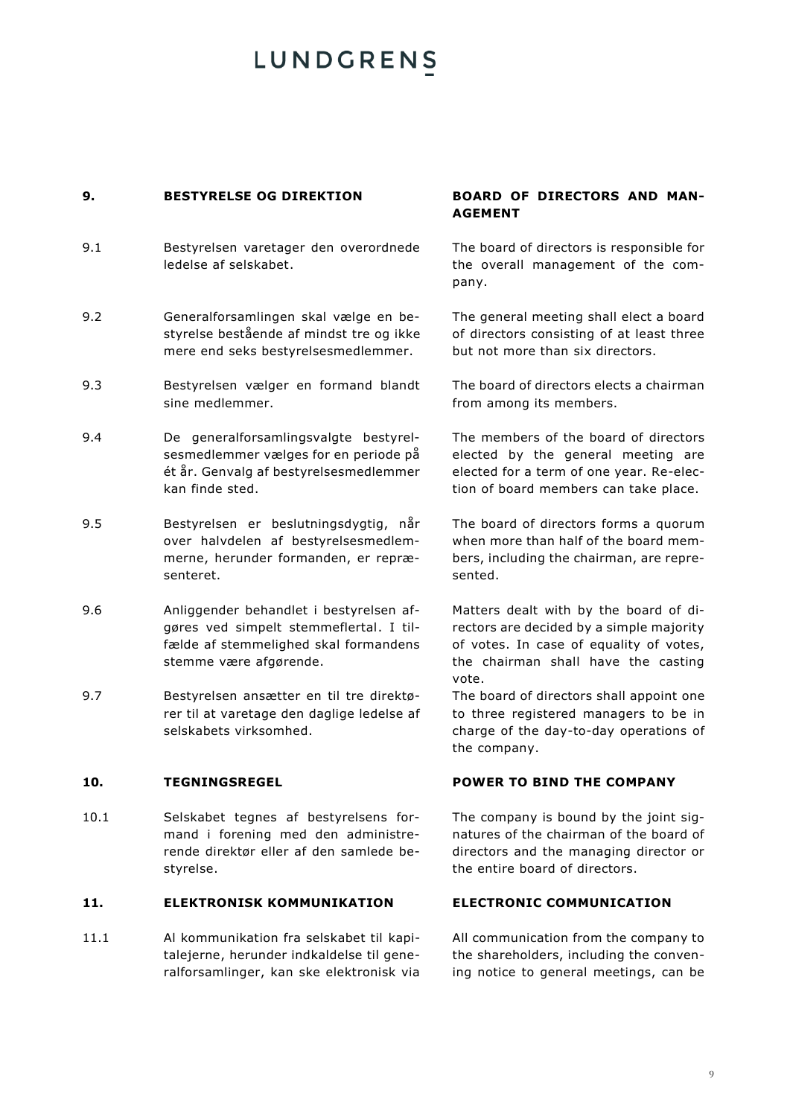### **9. BESTYRELSE OG DIREKTION BOARD OF DIRECTORS AND MAN-**

- 9.1 Bestyrelsen varetager den overordnede ledelse af selskabet.
- 9.2 Generalforsamlingen skal vælge en bestyrelse bestående af mindst tre og ikke mere end seks bestyrelsesmedlemmer.
- 9.3 Bestyrelsen vælger en formand blandt sine medlemmer.
- 9.4 De generalforsamlingsvalgte bestyrelsesmedlemmer vælges for en periode på ét år. Genvalg af bestyrelsesmedlemmer kan finde sted.
- 9.5 Bestyrelsen er beslutningsdygtig, når over halvdelen af bestyrelsesmedlemmerne, herunder formanden, er repræsenteret.
- 9.6 Anliggender behandlet i bestyrelsen afgøres ved simpelt stemmeflertal. I tilfælde af stemmelighed skal formandens stemme være afgørende.
- 9.7 Bestyrelsen ansætter en til tre direktører til at varetage den daglige ledelse af selskabets virksomhed.

10.1 Selskabet tegnes af bestyrelsens formand i forening med den administrerende direktør eller af den samlede bestyrelse.

### <span id="page-8-0"></span>**11. ELEKTRONISK KOMMUNIKATION ELECTRONIC COMMUNICATION**

11.1 Al kommunikation fra selskabet til kapitalejerne, herunder indkaldelse til generalforsamlinger, kan ske elektronisk via

# **AGEMENT**

The board of directors is responsible for the overall management of the company.

The general meeting shall elect a board of directors consisting of at least three but not more than six directors.

The board of directors elects a chairman from among its members.

The members of the board of directors elected by the general meeting are elected for a term of one year. Re-election of board members can take place.

The board of directors forms a quorum when more than half of the board members, including the chairman, are represented.

Matters dealt with by the board of directors are decided by a simple majority of votes. In case of equality of votes, the chairman shall have the casting vote.

The board of directors shall appoint one to three registered managers to be in charge of the day-to-day operations of the company.

### **10. TEGNINGSREGEL POWER TO BIND THE COMPANY**

The company is bound by the joint signatures of the chairman of the board of directors and the managing director or the entire board of directors.

All communication from the company to the shareholders, including the convening notice to general meetings, can be